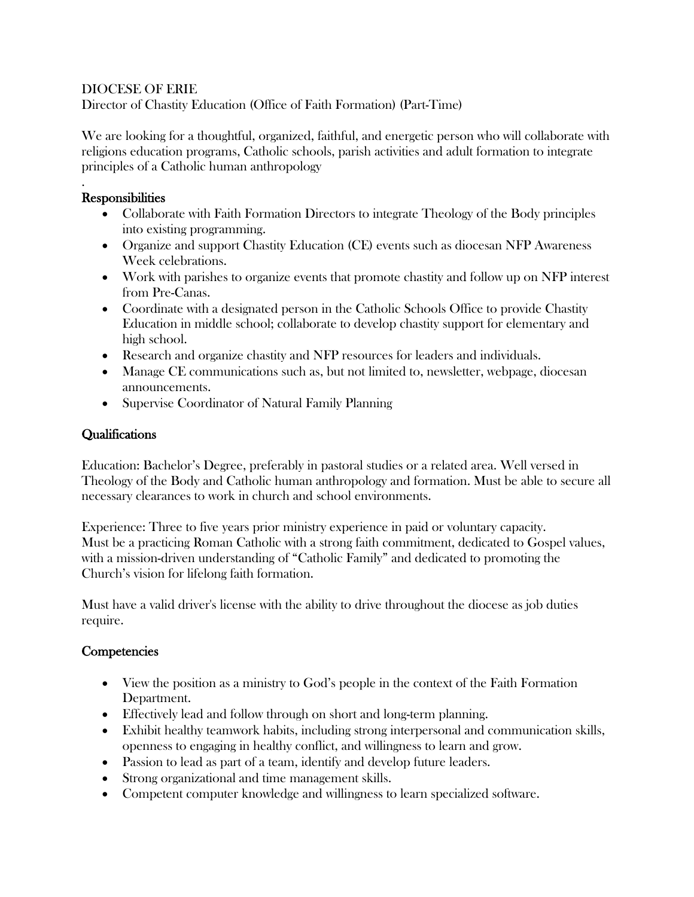#### DIOCESE OF ERIE

Director of Chastity Education (Office of Faith Formation) (Part-Time)

We are looking for a thoughtful, organized, faithful, and energetic person who will collaborate with religions education programs, Catholic schools, parish activities and adult formation to integrate principles of a Catholic human anthropology

#### . **Responsibilities**

- Collaborate with Faith Formation Directors to integrate Theology of the Body principles into existing programming.
- Organize and support Chastity Education (CE) events such as diocesan NFP Awareness Week celebrations.
- Work with parishes to organize events that promote chastity and follow up on NFP interest from Pre-Canas.
- Coordinate with a designated person in the Catholic Schools Office to provide Chastity Education in middle school; collaborate to develop chastity support for elementary and high school.
- Research and organize chastity and NFP resources for leaders and individuals.
- Manage CE communications such as, but not limited to, newsletter, webpage, diocesan announcements.
- Supervise Coordinator of Natural Family Planning

## **Qualifications**

Education: Bachelor's Degree, preferably in pastoral studies or a related area. Well versed in Theology of the Body and Catholic human anthropology and formation. Must be able to secure all necessary clearances to work in church and school environments.

Experience: Three to five years prior ministry experience in paid or voluntary capacity. Must be a practicing Roman Catholic with a strong faith commitment, dedicated to Gospel values, with a mission-driven understanding of "Catholic Family" and dedicated to promoting the Church's vision for lifelong faith formation.

Must have a valid driver's license with the ability to drive throughout the diocese as job duties require.

## **Competencies**

- View the position as a ministry to God's people in the context of the Faith Formation Department.
- Effectively lead and follow through on short and long-term planning.
- Exhibit healthy teamwork habits, including strong interpersonal and communication skills, openness to engaging in healthy conflict, and willingness to learn and grow.
- Passion to lead as part of a team, identify and develop future leaders.
- Strong organizational and time management skills.
- Competent computer knowledge and willingness to learn specialized software.